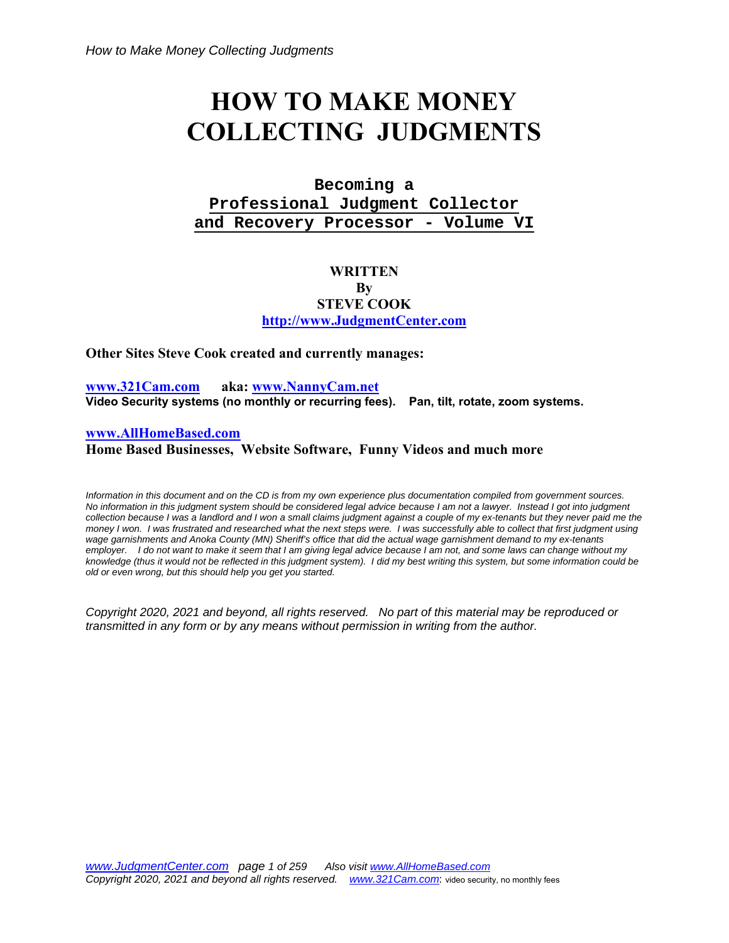# **HOW TO MAKE MONEY COLLECTING JUDGMENTS**

# **Becoming a Professional Judgment Collector and Recovery Processor - Volume VI**

# **WRITTEN By STEVE COOK http://www.JudgmentCenter.com**

**Other Sites Steve Cook created and currently manages:** 

**www.321Cam.com aka: www.NannyCam.net Video Security systems (no monthly or recurring fees). Pan, tilt, rotate, zoom systems.**

#### **www.AllHomeBased.com**

**Home Based Businesses, Website Software, Funny Videos and much more** 

*Information in this document and on the CD is from my own experience plus documentation compiled from government sources. No information in this judgment system should be considered legal advice because I am not a lawyer. Instead I got into judgment collection because I was a landlord and I won a small claims judgment against a couple of my ex-tenants but they never paid me the money I won. I was frustrated and researched what the next steps were. I was successfully able to collect that first judgment using wage garnishments and Anoka County (MN) Sheriff's office that did the actual wage garnishment demand to my ex-tenants employer. I do not want to make it seem that I am giving legal advice because I am not, and some laws can change without my knowledge (thus it would not be reflected in this judgment system). I did my best writing this system, but some information could be old or even wrong, but this should help you get you started.* 

*Copyright 2020, 2021 and beyond, all rights reserved. No part of this material may be reproduced or transmitted in any form or by any means without permission in writing from the author.*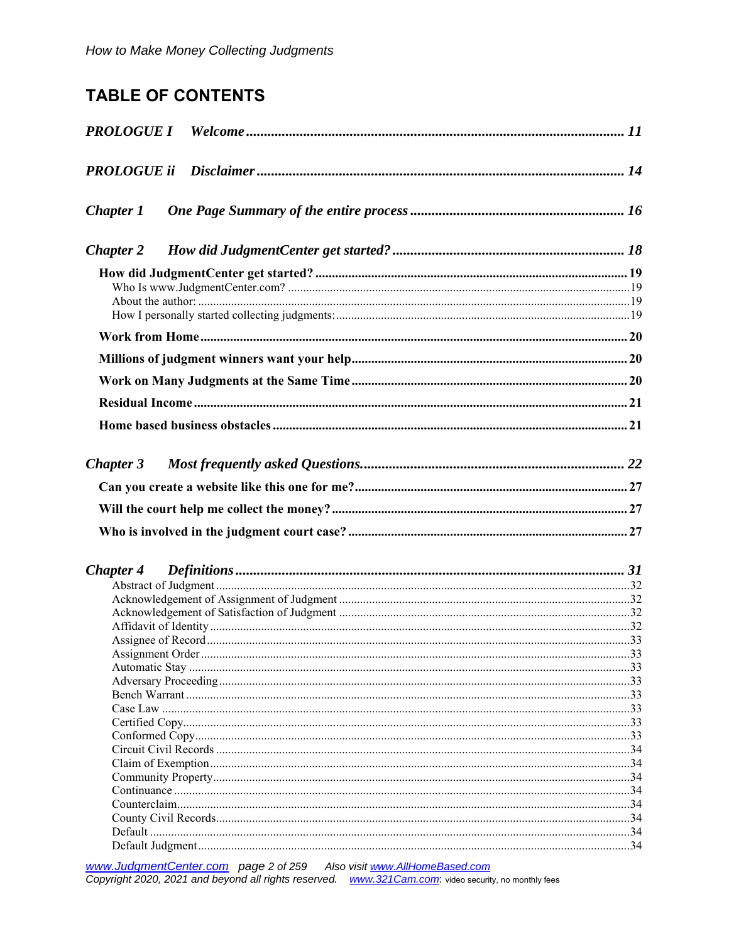# **TABLE OF CONTENTS**

| PROLOGUE ii      |  |
|------------------|--|
| <b>Chapter 1</b> |  |
| <b>Chapter 2</b> |  |
|                  |  |
|                  |  |
|                  |  |
|                  |  |
|                  |  |
|                  |  |
|                  |  |
|                  |  |
|                  |  |
|                  |  |
| <b>Chapter 3</b> |  |
|                  |  |
|                  |  |
|                  |  |
|                  |  |
|                  |  |
| <b>Chapter 4</b> |  |
|                  |  |
|                  |  |
|                  |  |
|                  |  |
|                  |  |
|                  |  |
|                  |  |
|                  |  |
|                  |  |
|                  |  |
|                  |  |
|                  |  |
|                  |  |
|                  |  |
|                  |  |
|                  |  |
|                  |  |
|                  |  |
|                  |  |
|                  |  |

www.JudgmentCenter.com page 2 of 259 Also visit www.AllHomeBased.com<br>Copyright 2020, 2021 and beyond all rights reserved. www.321Cam.com: video security, no monthly fees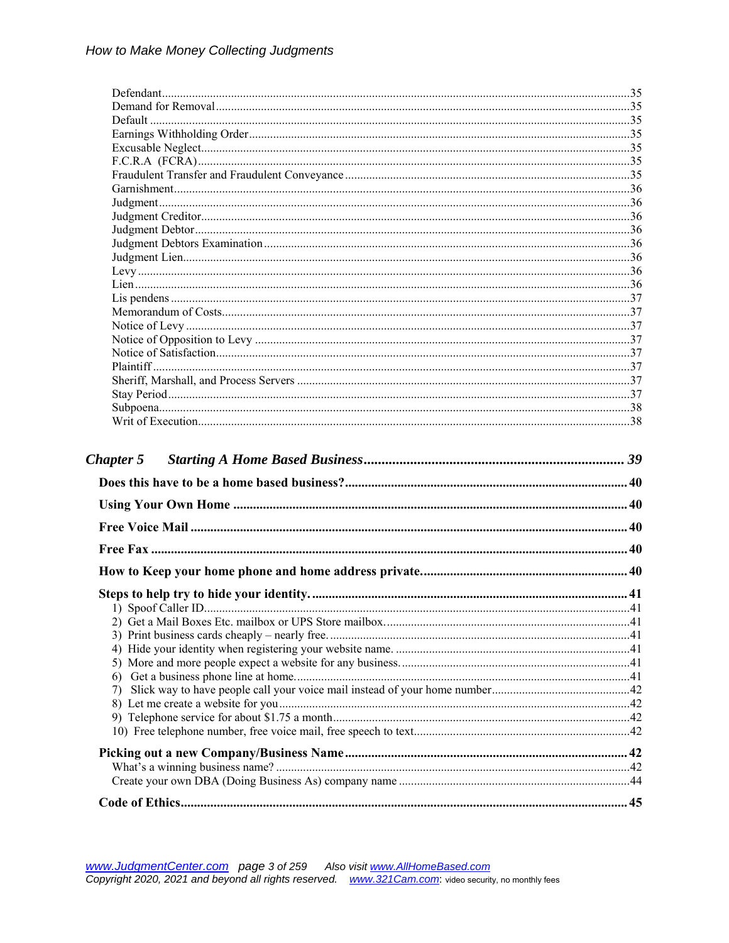| <b>Chapter 5</b> |  |
|------------------|--|
|                  |  |
|                  |  |
|                  |  |
|                  |  |
|                  |  |
|                  |  |
|                  |  |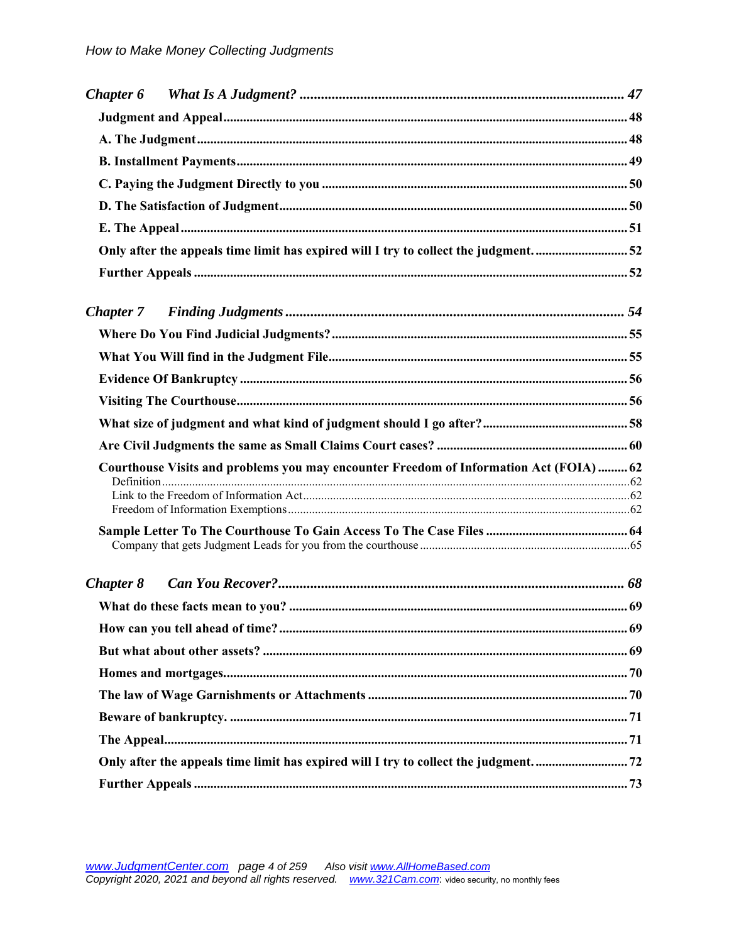| Only after the appeals time limit has expired will I try to collect the judgment52    |  |
|---------------------------------------------------------------------------------------|--|
|                                                                                       |  |
| <b>Chapter 7</b>                                                                      |  |
|                                                                                       |  |
|                                                                                       |  |
|                                                                                       |  |
|                                                                                       |  |
|                                                                                       |  |
|                                                                                       |  |
| Courthouse Visits and problems you may encounter Freedom of Information Act (FOIA) 62 |  |
|                                                                                       |  |
|                                                                                       |  |
|                                                                                       |  |
| <b>Chapter 8</b>                                                                      |  |
|                                                                                       |  |
|                                                                                       |  |
|                                                                                       |  |
|                                                                                       |  |
|                                                                                       |  |
|                                                                                       |  |
|                                                                                       |  |
|                                                                                       |  |
|                                                                                       |  |
|                                                                                       |  |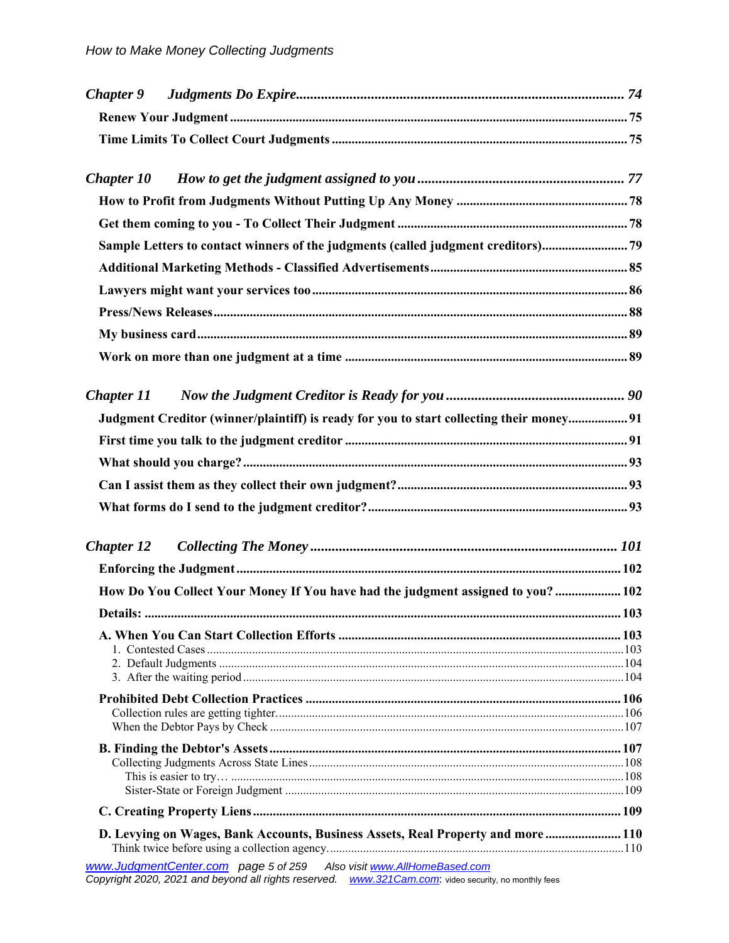| <b>Chapter 9</b>  |                                                                                                                                                                                    |  |
|-------------------|------------------------------------------------------------------------------------------------------------------------------------------------------------------------------------|--|
|                   |                                                                                                                                                                                    |  |
|                   |                                                                                                                                                                                    |  |
| <b>Chapter 10</b> |                                                                                                                                                                                    |  |
|                   |                                                                                                                                                                                    |  |
|                   |                                                                                                                                                                                    |  |
|                   | Sample Letters to contact winners of the judgments (called judgment creditors)79                                                                                                   |  |
|                   |                                                                                                                                                                                    |  |
|                   |                                                                                                                                                                                    |  |
|                   |                                                                                                                                                                                    |  |
|                   |                                                                                                                                                                                    |  |
|                   |                                                                                                                                                                                    |  |
| <b>Chapter 11</b> |                                                                                                                                                                                    |  |
|                   | Judgment Creditor (winner/plaintiff) is ready for you to start collecting their money 91                                                                                           |  |
|                   |                                                                                                                                                                                    |  |
|                   |                                                                                                                                                                                    |  |
|                   |                                                                                                                                                                                    |  |
|                   |                                                                                                                                                                                    |  |
| <b>Chapter 12</b> |                                                                                                                                                                                    |  |
|                   |                                                                                                                                                                                    |  |
|                   | How Do You Collect Your Money If You have had the judgment assigned to you?  102                                                                                                   |  |
|                   |                                                                                                                                                                                    |  |
|                   |                                                                                                                                                                                    |  |
|                   |                                                                                                                                                                                    |  |
|                   |                                                                                                                                                                                    |  |
|                   |                                                                                                                                                                                    |  |
|                   |                                                                                                                                                                                    |  |
|                   |                                                                                                                                                                                    |  |
|                   |                                                                                                                                                                                    |  |
|                   |                                                                                                                                                                                    |  |
|                   |                                                                                                                                                                                    |  |
|                   | D. Levying on Wages, Bank Accounts, Business Assets, Real Property and more  110                                                                                                   |  |
|                   |                                                                                                                                                                                    |  |
|                   | www.JudgmentCenter.com    page 5 of 259    Also visit www.AllHomeBased.com<br>Copyright 2020, 2021 and beyond all rights reserved. www.321Cam.com: video security, no monthly fees |  |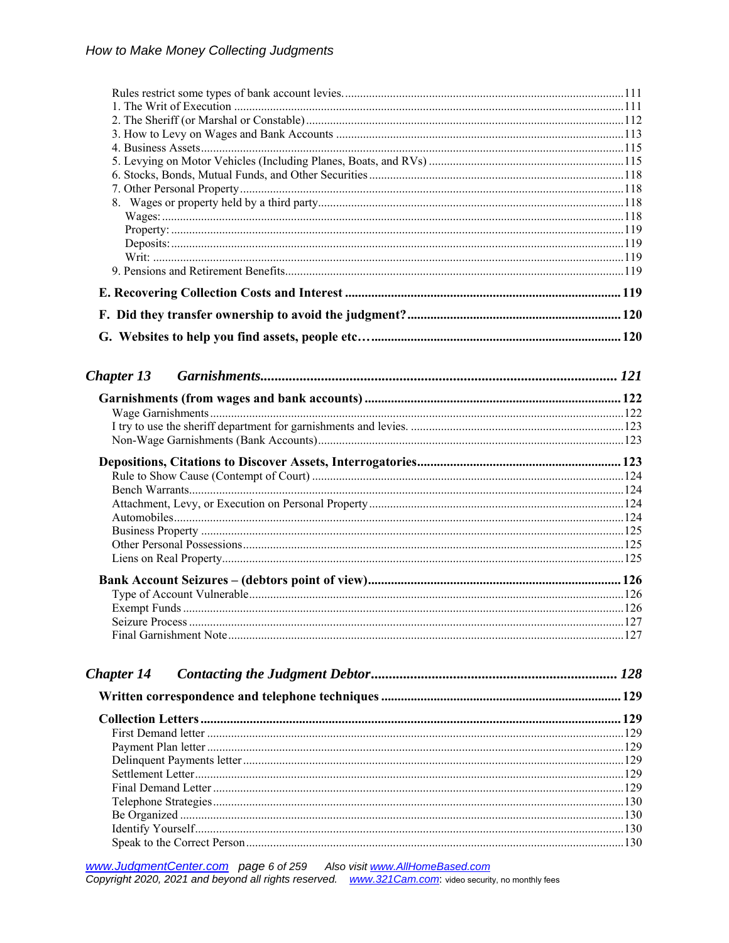| <b>Chapter 13</b> |  |
|-------------------|--|
|                   |  |
|                   |  |
|                   |  |
|                   |  |
|                   |  |
|                   |  |
|                   |  |
|                   |  |
|                   |  |
|                   |  |
|                   |  |
|                   |  |
|                   |  |
|                   |  |
|                   |  |
|                   |  |
|                   |  |
|                   |  |
|                   |  |
| <b>Chapter 14</b> |  |
|                   |  |
|                   |  |
|                   |  |
|                   |  |
|                   |  |
|                   |  |
|                   |  |
|                   |  |
|                   |  |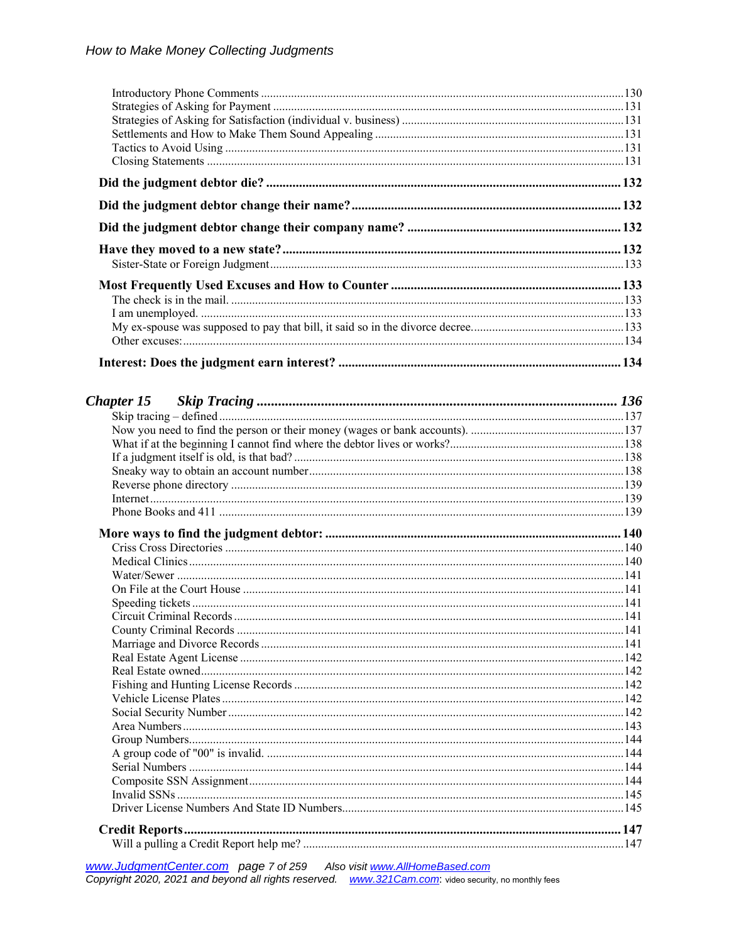| $\frac{1}{2}$ |  |
|---------------|--|

www.JudgmentCenter.com page 7 of 259 Also visit www.AllHomeBased.com<br>Copyright 2020, 2021 and beyond all rights reserved. www.321Cam.com: video security, no monthly fees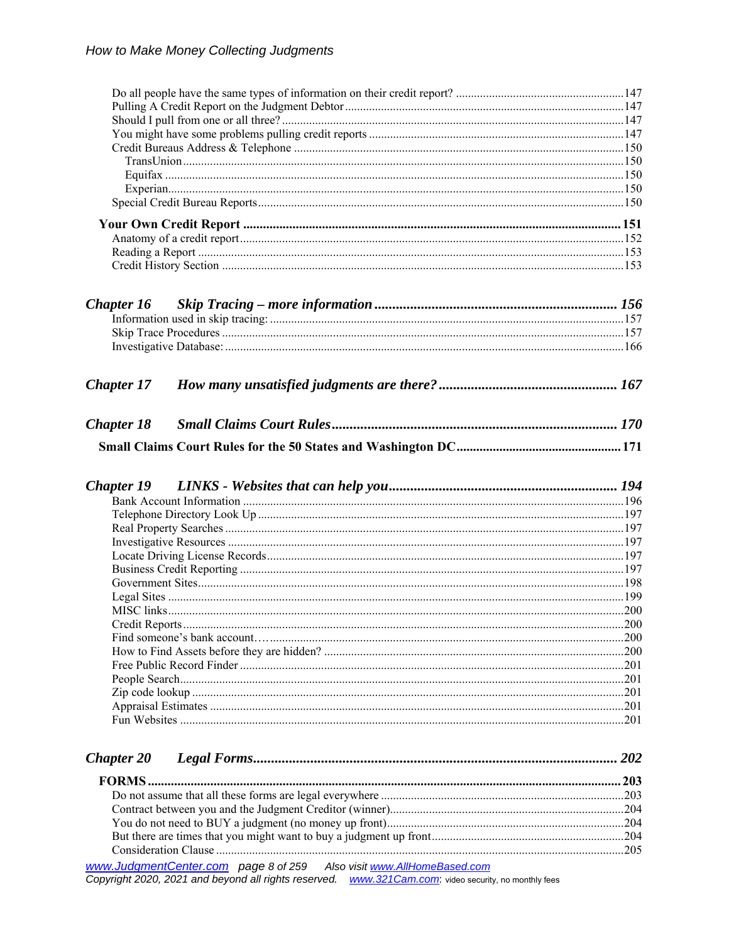| Chapter 16        |                                                                                                                                                                                    |  |
|-------------------|------------------------------------------------------------------------------------------------------------------------------------------------------------------------------------|--|
|                   |                                                                                                                                                                                    |  |
|                   |                                                                                                                                                                                    |  |
|                   |                                                                                                                                                                                    |  |
| <b>Chapter 17</b> |                                                                                                                                                                                    |  |
|                   |                                                                                                                                                                                    |  |
| <b>Chapter 18</b> |                                                                                                                                                                                    |  |
|                   |                                                                                                                                                                                    |  |
|                   |                                                                                                                                                                                    |  |
| <b>Chapter 19</b> |                                                                                                                                                                                    |  |
|                   |                                                                                                                                                                                    |  |
|                   |                                                                                                                                                                                    |  |
|                   |                                                                                                                                                                                    |  |
|                   |                                                                                                                                                                                    |  |
|                   |                                                                                                                                                                                    |  |
|                   |                                                                                                                                                                                    |  |
|                   |                                                                                                                                                                                    |  |
|                   |                                                                                                                                                                                    |  |
|                   |                                                                                                                                                                                    |  |
|                   |                                                                                                                                                                                    |  |
|                   |                                                                                                                                                                                    |  |
|                   |                                                                                                                                                                                    |  |
|                   |                                                                                                                                                                                    |  |
|                   |                                                                                                                                                                                    |  |
|                   |                                                                                                                                                                                    |  |
|                   |                                                                                                                                                                                    |  |
|                   |                                                                                                                                                                                    |  |
|                   |                                                                                                                                                                                    |  |
| <b>Chapter 20</b> |                                                                                                                                                                                    |  |
|                   |                                                                                                                                                                                    |  |
|                   |                                                                                                                                                                                    |  |
|                   |                                                                                                                                                                                    |  |
|                   |                                                                                                                                                                                    |  |
|                   |                                                                                                                                                                                    |  |
|                   |                                                                                                                                                                                    |  |
|                   | www.JudgmentCenter.com    page 8 of 259    Also visit www.AllHomeBased.com<br>Copyright 2020, 2021 and beyond all rights reserved. www.321Cam.com: video security, no monthly fees |  |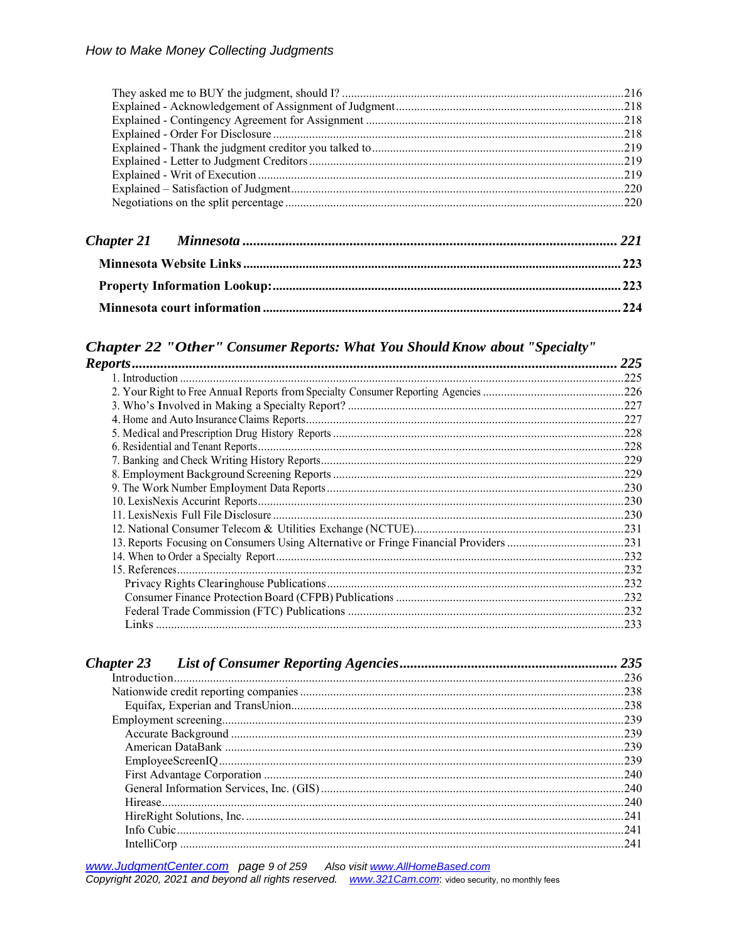# Chapter 22 "Other" Consumer Reports: What You Should Know about "Specialty"

|                                                                                       | 225  |
|---------------------------------------------------------------------------------------|------|
|                                                                                       |      |
|                                                                                       |      |
|                                                                                       |      |
|                                                                                       |      |
|                                                                                       |      |
|                                                                                       | .228 |
|                                                                                       |      |
|                                                                                       |      |
|                                                                                       |      |
|                                                                                       |      |
|                                                                                       | .230 |
|                                                                                       |      |
| 13. Reports Focusing on Consumers Using Alternative or Fringe Financial Providers 231 |      |
|                                                                                       |      |
|                                                                                       |      |
|                                                                                       |      |
|                                                                                       |      |
|                                                                                       |      |
|                                                                                       |      |

|             | 235  |
|-------------|------|
|             |      |
|             |      |
|             | .238 |
|             | .239 |
|             |      |
|             | .239 |
|             |      |
|             | .240 |
|             | .240 |
|             | .240 |
|             | .241 |
|             | 241  |
| IntelliCorp | 241  |

www.JudgmentCenter.com page 9 of 259 Also visit www.AllHomeBased.com<br>Copyright 2020, 2021 and beyond all rights reserved. www.321Cam.com: video security, no monthly fees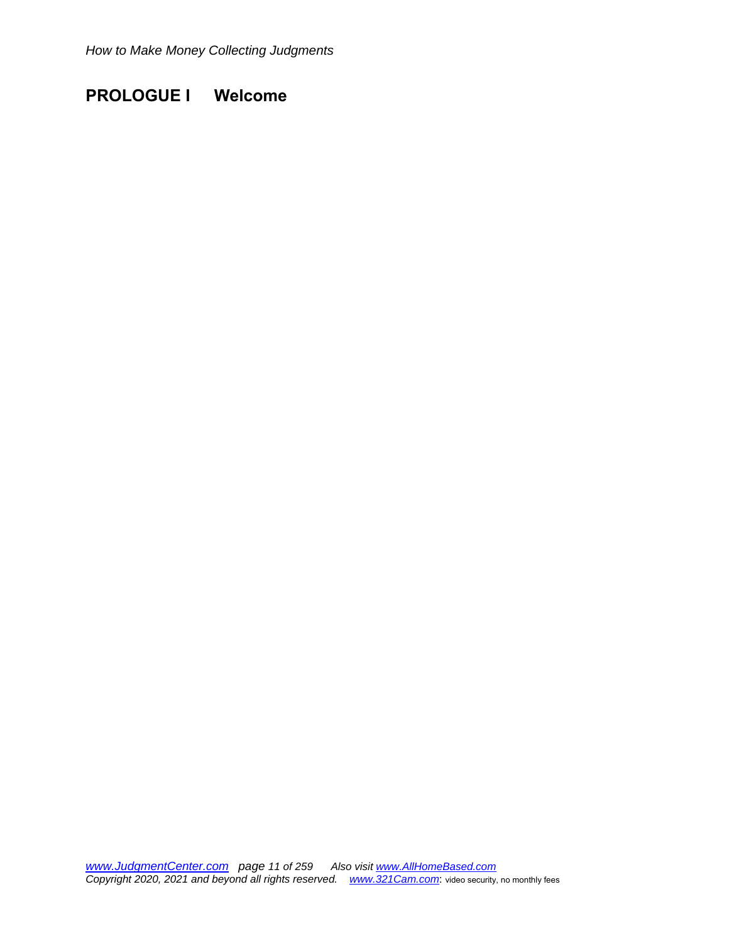# **PROLOGUE I Welcome**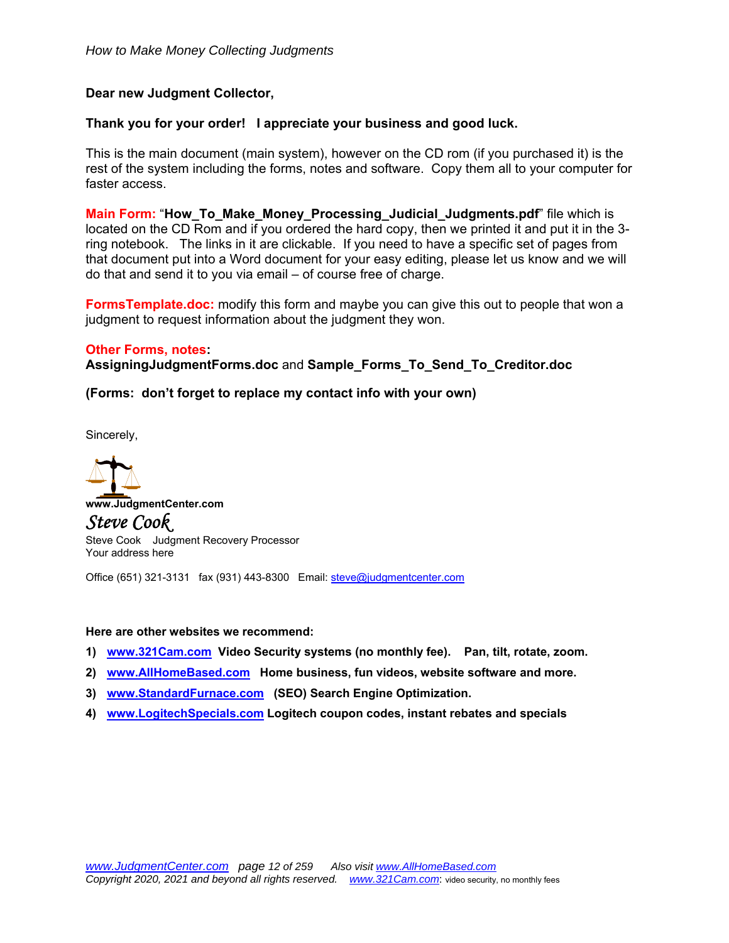# **Dear new Judgment Collector,**

### **Thank you for your order! I appreciate your business and good luck.**

This is the main document (main system), however on the CD rom (if you purchased it) is the rest of the system including the forms, notes and software. Copy them all to your computer for faster access.

**Main Form:** "**How\_To\_Make\_Money\_Processing\_Judicial\_Judgments.pdf**" file which is located on the CD Rom and if you ordered the hard copy, then we printed it and put it in the 3 ring notebook. The links in it are clickable. If you need to have a specific set of pages from that document put into a Word document for your easy editing, please let us know and we will do that and send it to you via email – of course free of charge.

**FormsTemplate.doc:** modify this form and maybe you can give this out to people that won a judgment to request information about the judgment they won.

#### **Other Forms, notes:**

**AssigningJudgmentForms.doc** and **Sample\_Forms\_To\_Send\_To\_Creditor.doc** 

#### **(Forms: don't forget to replace my contact info with your own)**

Sincerely,



Office (651) 321-3131 fax (931) 443-8300 Email: steve@judgmentcenter.com

#### **Here are other websites we recommend:**

- **1) www.321Cam.com Video Security systems (no monthly fee). Pan, tilt, rotate, zoom.**
- **2) www.AllHomeBased.com Home business, fun videos, website software and more.**
- **3) www.StandardFurnace.com (SEO) Search Engine Optimization.**
- **4) www.LogitechSpecials.com Logitech coupon codes, instant rebates and specials**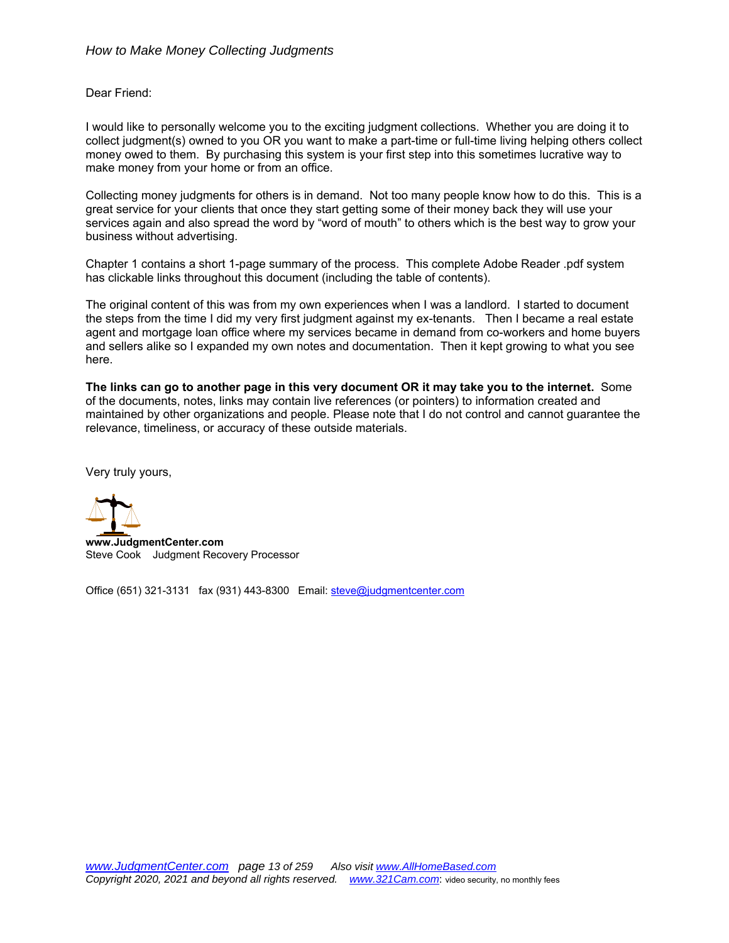Dear Friend:

I would like to personally welcome you to the exciting judgment collections. Whether you are doing it to collect judgment(s) owned to you OR you want to make a part-time or full-time living helping others collect money owed to them. By purchasing this system is your first step into this sometimes lucrative way to make money from your home or from an office.

Collecting money judgments for others is in demand. Not too many people know how to do this. This is a great service for your clients that once they start getting some of their money back they will use your services again and also spread the word by "word of mouth" to others which is the best way to grow your business without advertising.

Chapter 1 contains a short 1-page summary of the process. This complete Adobe Reader .pdf system has clickable links throughout this document (including the table of contents).

The original content of this was from my own experiences when I was a landlord. I started to document the steps from the time I did my very first judgment against my ex-tenants. Then I became a real estate agent and mortgage loan office where my services became in demand from co-workers and home buyers and sellers alike so I expanded my own notes and documentation. Then it kept growing to what you see here.

**The links can go to another page in this very document OR it may take you to the internet.** Some of the documents, notes, links may contain live references (or pointers) to information created and maintained by other organizations and people. Please note that I do not control and cannot guarantee the relevance, timeliness, or accuracy of these outside materials.

Very truly yours,



**www.JudgmentCenter.com**  Steve Cook Judgment Recovery Processor

Office (651) 321-3131 fax (931) 443-8300 Email: steve@judgmentcenter.com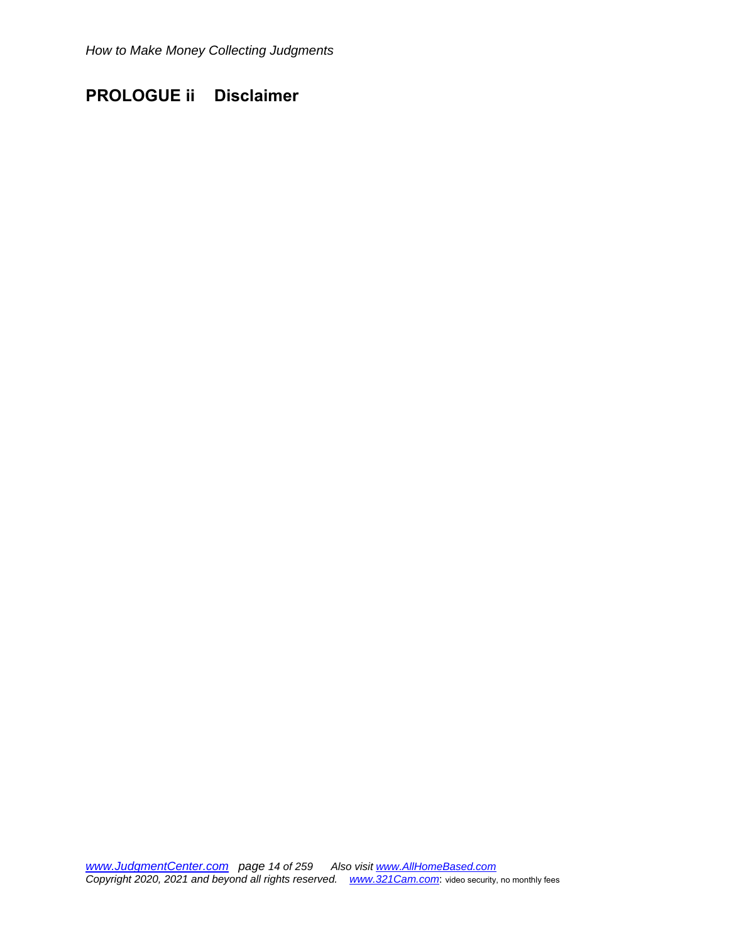# **PROLOGUE ii Disclaimer**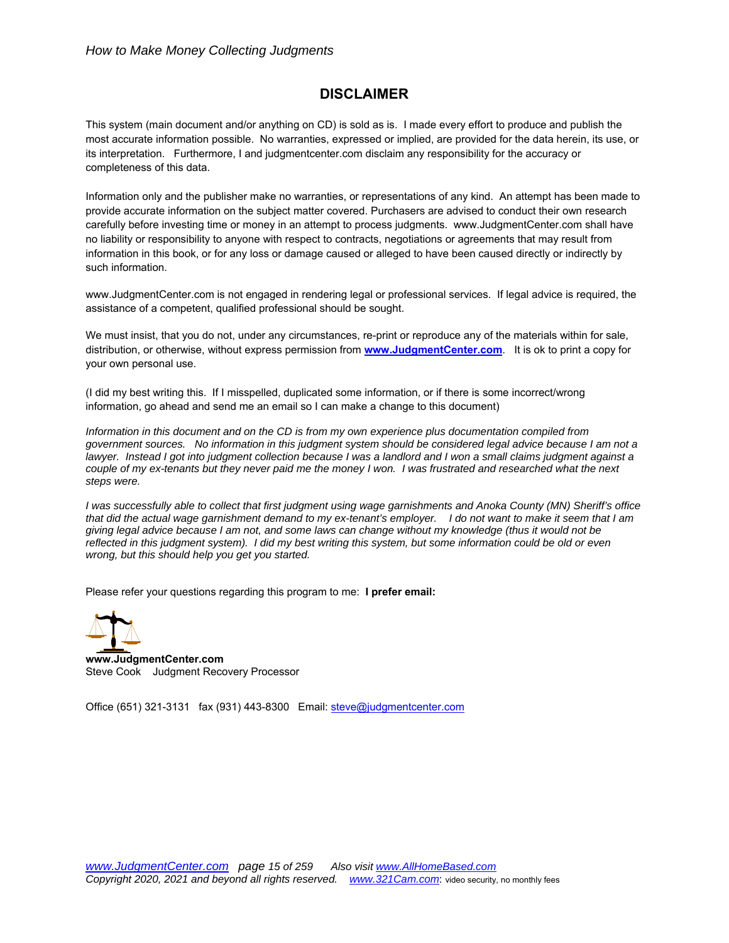# **DISCLAIMER**

This system (main document and/or anything on CD) is sold as is. I made every effort to produce and publish the most accurate information possible. No warranties, expressed or implied, are provided for the data herein, its use, or its interpretation. Furthermore, I and judgmentcenter.com disclaim any responsibility for the accuracy or completeness of this data.

Information only and the publisher make no warranties, or representations of any kind. An attempt has been made to provide accurate information on the subject matter covered. Purchasers are advised to conduct their own research carefully before investing time or money in an attempt to process judgments. www.JudgmentCenter.com shall have no liability or responsibility to anyone with respect to contracts, negotiations or agreements that may result from information in this book, or for any loss or damage caused or alleged to have been caused directly or indirectly by such information.

www.JudgmentCenter.com is not engaged in rendering legal or professional services. If legal advice is required, the assistance of a competent, qualified professional should be sought.

We must insist, that you do not, under any circumstances, re-print or reproduce any of the materials within for sale, distribution, or otherwise, without express permission from **www.JudgmentCenter.com**. It is ok to print a copy for your own personal use.

(I did my best writing this. If I misspelled, duplicated some information, or if there is some incorrect/wrong information, go ahead and send me an email so I can make a change to this document)

*Information in this document and on the CD is from my own experience plus documentation compiled from government sources. No information in this judgment system should be considered legal advice because I am not a lawyer. Instead I got into judgment collection because I was a landlord and I won a small claims judgment against a couple of my ex-tenants but they never paid me the money I won. I was frustrated and researched what the next steps were.* 

*I was successfully able to collect that first judgment using wage garnishments and Anoka County (MN) Sheriff's office that did the actual wage garnishment demand to my ex-tenant's employer. I do not want to make it seem that I am giving legal advice because I am not, and some laws can change without my knowledge (thus it would not be reflected in this judgment system). I did my best writing this system, but some information could be old or even wrong, but this should help you get you started.* 

Please refer your questions regarding this program to me: **I prefer email:** 



 **www.JudgmentCenter.com**  Steve Cook Judgment Recovery Processor

Office (651) 321-3131 fax (931) 443-8300 Email: steve@judgmentcenter.com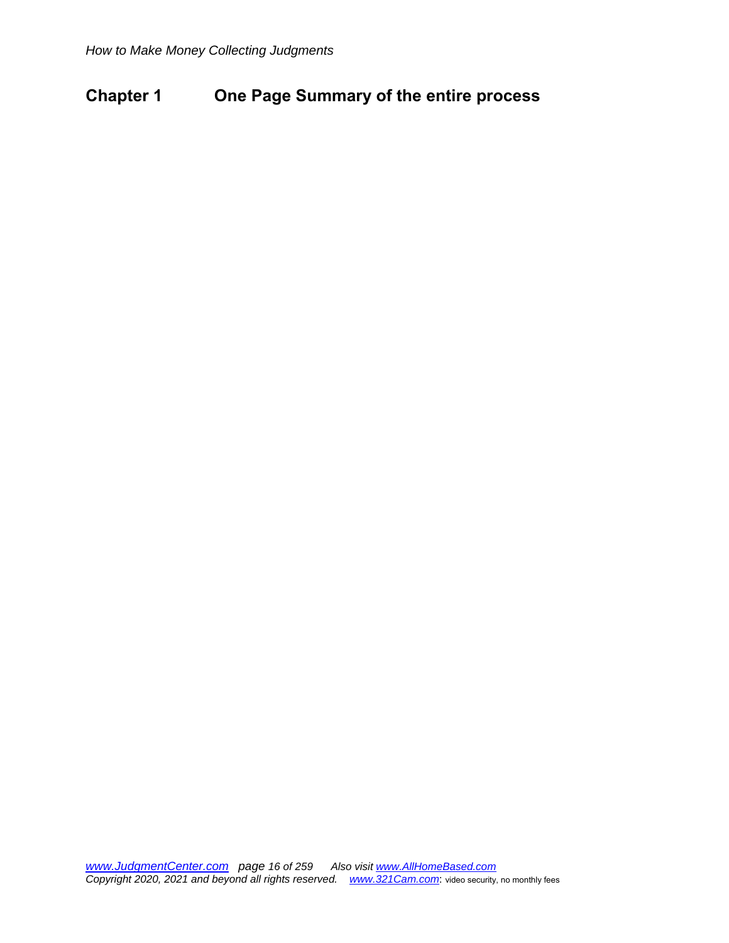# **Chapter 1 One Page Summary of the entire process**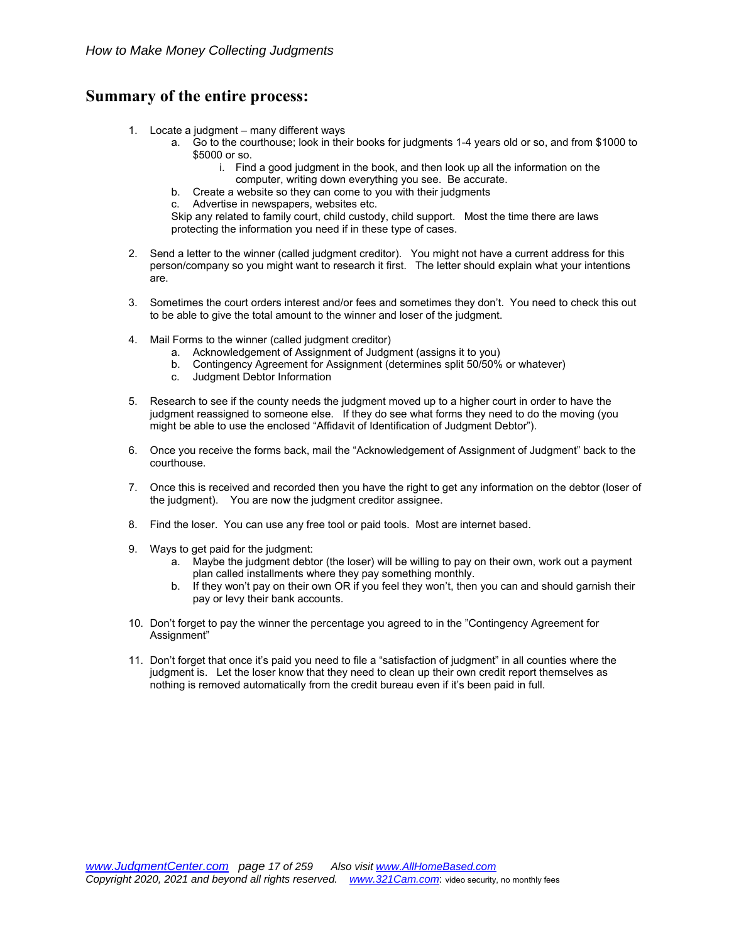# **Summary of the entire process:**

- 1. Locate a judgment many different ways
	- a. Go to the courthouse; look in their books for judgments 1-4 years old or so, and from \$1000 to \$5000 or so.
		- i. Find a good judgment in the book, and then look up all the information on the computer, writing down everything you see. Be accurate.
	- b. Create a website so they can come to you with their judgments
	- c. Advertise in newspapers, websites etc.

Skip any related to family court, child custody, child support. Most the time there are laws protecting the information you need if in these type of cases.

- 2. Send a letter to the winner (called judgment creditor). You might not have a current address for this person/company so you might want to research it first. The letter should explain what your intentions are.
- 3. Sometimes the court orders interest and/or fees and sometimes they don't. You need to check this out to be able to give the total amount to the winner and loser of the judgment.
- 4. Mail Forms to the winner (called judgment creditor)
	- a. Acknowledgement of Assignment of Judgment (assigns it to you)
	- b. Contingency Agreement for Assignment (determines split 50/50% or whatever)
	- c. Judgment Debtor Information
- 5. Research to see if the county needs the judgment moved up to a higher court in order to have the judgment reassigned to someone else. If they do see what forms they need to do the moving (you might be able to use the enclosed "Affidavit of Identification of Judgment Debtor").
- 6. Once you receive the forms back, mail the "Acknowledgement of Assignment of Judgment" back to the courthouse.
- 7. Once this is received and recorded then you have the right to get any information on the debtor (loser of the judgment). You are now the judgment creditor assignee.
- 8. Find the loser. You can use any free tool or paid tools. Most are internet based.
- 9. Ways to get paid for the judgment:
	- a. Maybe the judgment debtor (the loser) will be willing to pay on their own, work out a payment plan called installments where they pay something monthly.
	- b. If they won't pay on their own OR if you feel they won't, then you can and should garnish their pay or levy their bank accounts.
- 10. Don't forget to pay the winner the percentage you agreed to in the "Contingency Agreement for Assignment"
- 11. Don't forget that once it's paid you need to file a "satisfaction of judgment" in all counties where the judgment is. Let the loser know that they need to clean up their own credit report themselves as nothing is removed automatically from the credit bureau even if it's been paid in full.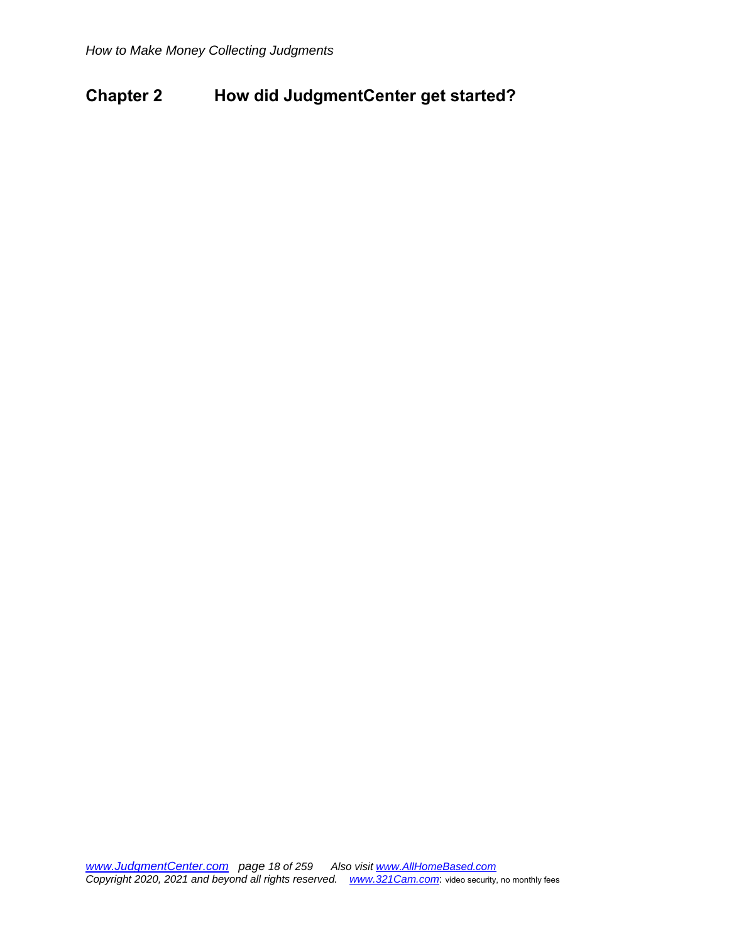# **Chapter 2 How did JudgmentCenter get started?**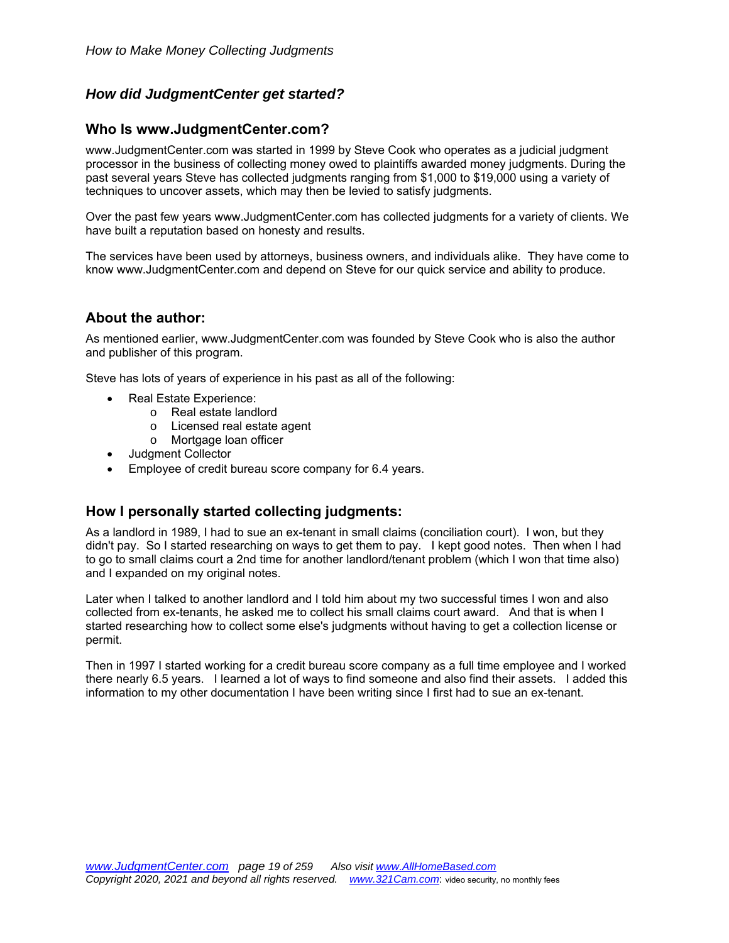# *How did JudgmentCenter get started?*

# **Who Is www.JudgmentCenter.com?**

www.JudgmentCenter.com was started in 1999 by Steve Cook who operates as a judicial judgment processor in the business of collecting money owed to plaintiffs awarded money judgments. During the past several years Steve has collected judgments ranging from \$1,000 to \$19,000 using a variety of techniques to uncover assets, which may then be levied to satisfy judgments.

Over the past few years www.JudgmentCenter.com has collected judgments for a variety of clients. We have built a reputation based on honesty and results.

The services have been used by attorneys, business owners, and individuals alike. They have come to know www.JudgmentCenter.com and depend on Steve for our quick service and ability to produce.

# **About the author:**

As mentioned earlier, www.JudgmentCenter.com was founded by Steve Cook who is also the author and publisher of this program.

Steve has lots of years of experience in his past as all of the following:

- Real Estate Experience:
	- o Real estate landlord
	- o Licensed real estate agent
	- o Mortgage loan officer
- Judament Collector
- Employee of credit bureau score company for 6.4 years.

### **How I personally started collecting judgments:**

As a landlord in 1989, I had to sue an ex-tenant in small claims (conciliation court). I won, but they didn't pay. So I started researching on ways to get them to pay. I kept good notes. Then when I had to go to small claims court a 2nd time for another landlord/tenant problem (which I won that time also) and I expanded on my original notes.

Later when I talked to another landlord and I told him about my two successful times I won and also collected from ex-tenants, he asked me to collect his small claims court award. And that is when I started researching how to collect some else's judgments without having to get a collection license or permit.

Then in 1997 I started working for a credit bureau score company as a full time employee and I worked there nearly 6.5 years. I learned a lot of ways to find someone and also find their assets. I added this information to my other documentation I have been writing since I first had to sue an ex-tenant.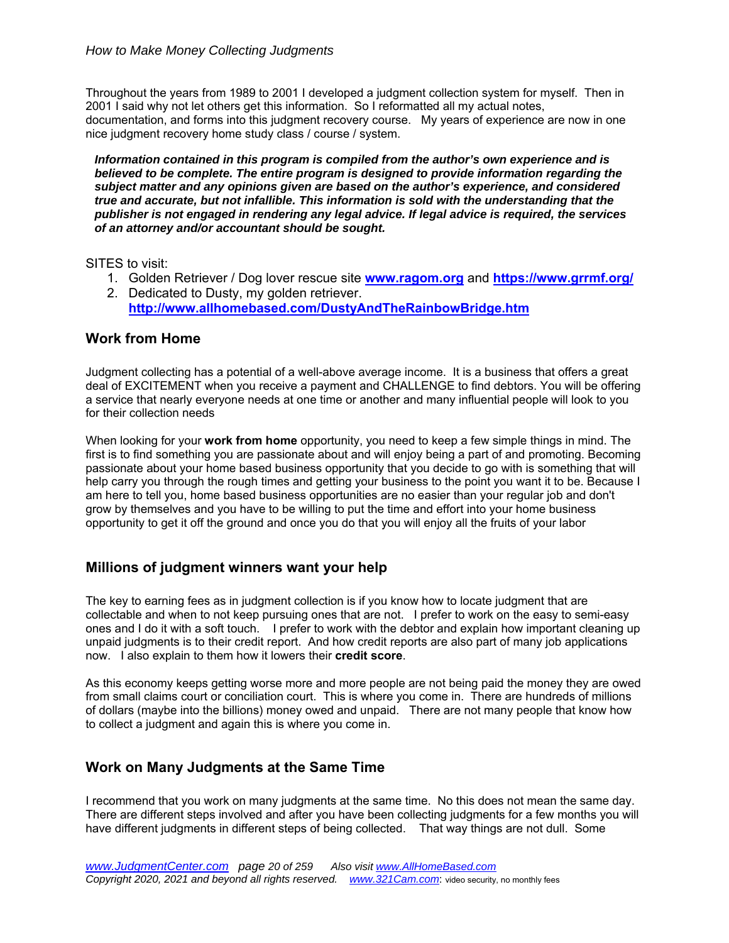Throughout the years from 1989 to 2001 I developed a judgment collection system for myself. Then in 2001 I said why not let others get this information. So I reformatted all my actual notes, documentation, and forms into this judgment recovery course. My years of experience are now in one nice judgment recovery home study class / course / system.

*Information contained in this program is compiled from the author's own experience and is believed to be complete. The entire program is designed to provide information regarding the subject matter and any opinions given are based on the author's experience, and considered true and accurate, but not infallible. This information is sold with the understanding that the publisher is not engaged in rendering any legal advice. If legal advice is required, the services of an attorney and/or accountant should be sought.*

SITES to visit:

- 1. Golden Retriever / Dog lover rescue site **www.ragom.org** and **https://www.grrmf.org/**
- 2. Dedicated to Dusty, my golden retriever. **http://www.allhomebased.com/DustyAndTheRainbowBridge.htm**

### **Work from Home**

Judgment collecting has a potential of a well-above average income. It is a business that offers a great deal of EXCITEMENT when you receive a payment and CHALLENGE to find debtors. You will be offering a service that nearly everyone needs at one time or another and many influential people will look to you for their collection needs

When looking for your **work from home** opportunity, you need to keep a few simple things in mind. The first is to find something you are passionate about and will enjoy being a part of and promoting. Becoming passionate about your home based business opportunity that you decide to go with is something that will help carry you through the rough times and getting your business to the point you want it to be. Because I am here to tell you, home based business opportunities are no easier than your regular job and don't grow by themselves and you have to be willing to put the time and effort into your home business opportunity to get it off the ground and once you do that you will enjoy all the fruits of your labor

# **Millions of judgment winners want your help**

The key to earning fees as in judgment collection is if you know how to locate judgment that are collectable and when to not keep pursuing ones that are not. I prefer to work on the easy to semi-easy ones and I do it with a soft touch. I prefer to work with the debtor and explain how important cleaning up unpaid judgments is to their credit report. And how credit reports are also part of many job applications now. I also explain to them how it lowers their **credit score**.

As this economy keeps getting worse more and more people are not being paid the money they are owed from small claims court or conciliation court. This is where you come in. There are hundreds of millions of dollars (maybe into the billions) money owed and unpaid. There are not many people that know how to collect a judgment and again this is where you come in.

### **Work on Many Judgments at the Same Time**

I recommend that you work on many judgments at the same time. No this does not mean the same day. There are different steps involved and after you have been collecting judgments for a few months you will have different judgments in different steps of being collected. That way things are not dull. Some